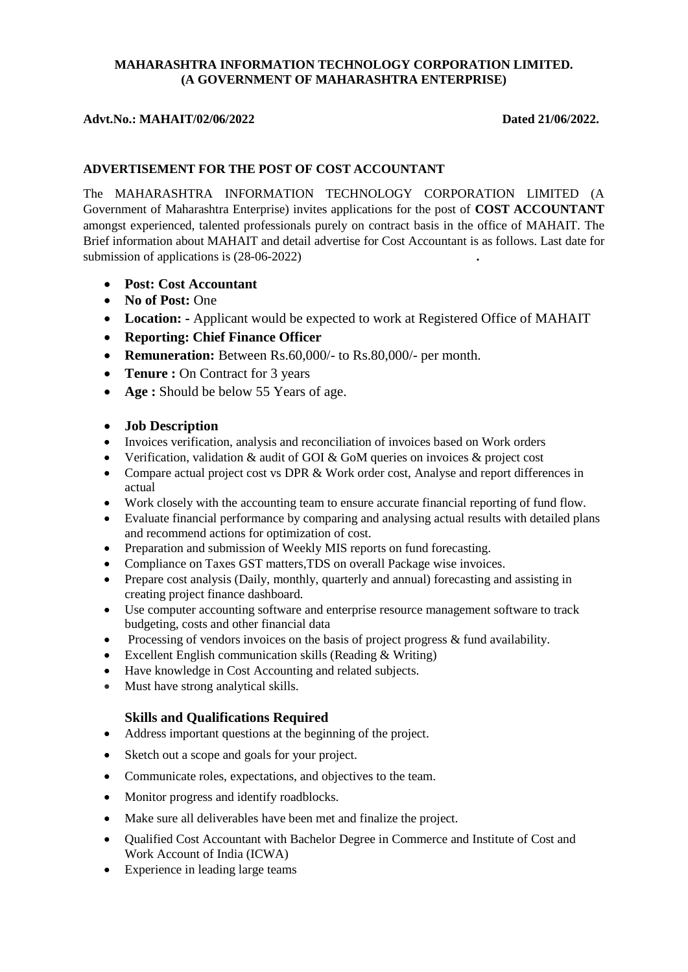# **MAHARASHTRA INFORMATION TECHNOLOGY CORPORATION LIMITED. (A GOVERNMENT OF MAHARASHTRA ENTERPRISE)**

#### Advt.No.: MAHAIT/02/06/2022 Dated 21/06/2022.

## **ADVERTISEMENT FOR THE POST OF COST ACCOUNTANT**

The MAHARASHTRA INFORMATION TECHNOLOGY CORPORATION LIMITED (A Government of Maharashtra Enterprise) invites applications for the post of **COST ACCOUNTANT** amongst experienced, talented professionals purely on contract basis in the office of MAHAIT. The Brief information about MAHAIT and detail advertise for Cost Accountant is as follows. Last date for submission of applications is (28-06-2022) **.**

- **Post: Cost Accountant**
- **No of Post: One**
- **Location: -** Applicant would be expected to work at Registered Office of MAHAIT
- **Reporting: Chief Finance Officer**
- **Remuneration:** Between Rs.60,000/- to Rs.80,000/- per month.
- **Tenure :** On Contract for 3 years
- **Age :** Should be below 55 Years of age.

# **Job Description**

- Invoices verification, analysis and reconciliation of invoices based on Work orders
- Verification, validation & audit of GOI & GoM queries on invoices & project cost
- Compare actual project cost vs DPR & Work order cost, Analyse and report differences in actual
- Work closely with the accounting team to ensure accurate financial reporting of fund flow.
- Evaluate financial performance by comparing and analysing actual results with detailed plans and recommend actions for optimization of cost.
- Preparation and submission of Weekly MIS reports on fund forecasting.
- Compliance on Taxes GST matters,TDS on overall Package wise invoices.
- Prepare cost analysis (Daily, monthly, quarterly and annual) forecasting and assisting in creating project finance dashboard.
- Use computer accounting software and enterprise resource management software to track budgeting, costs and other financial data
- Processing of vendors invoices on the basis of project progress & fund availability.
- Excellent English communication skills (Reading & Writing)
- Have knowledge in Cost Accounting and related subjects.
- Must have strong analytical skills.

# **Skills and Qualifications Required**

- Address important questions at the beginning of the project.
- Sketch out a scope and goals for your project.
- Communicate roles, expectations, and objectives to the team.
- Monitor progress and identify roadblocks.
- Make sure all deliverables have been met and finalize the project.
- Qualified Cost Accountant with Bachelor Degree in Commerce and Institute of Cost and Work Account of India (ICWA)
- Experience in leading large teams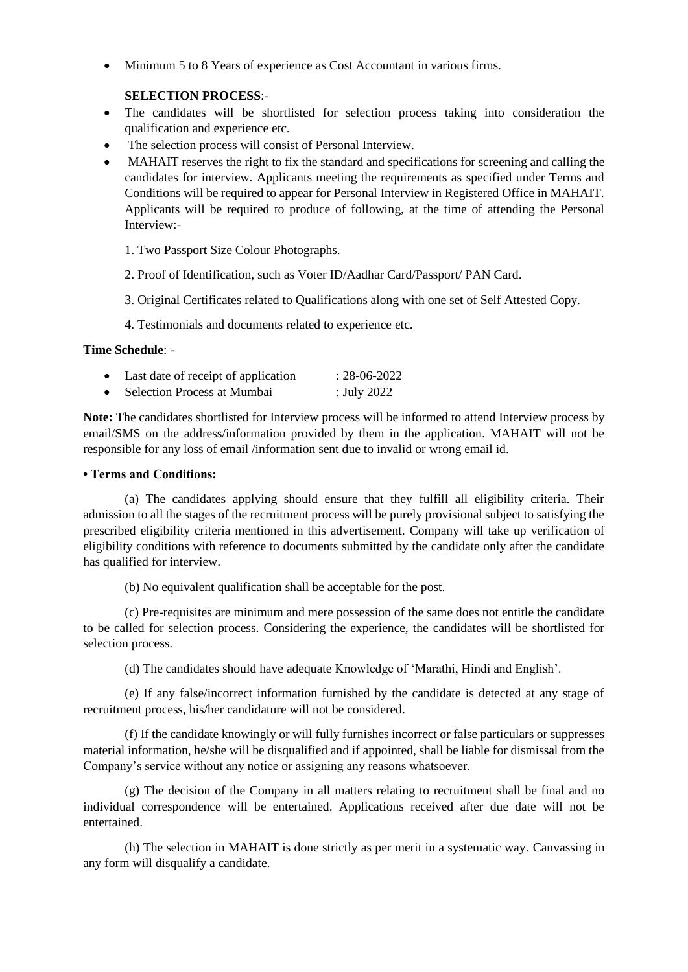Minimum 5 to 8 Years of experience as Cost Accountant in various firms.

## **SELECTION PROCESS**:-

- The candidates will be shortlisted for selection process taking into consideration the qualification and experience etc.
- The selection process will consist of Personal Interview.
- MAHAIT reserves the right to fix the standard and specifications for screening and calling the candidates for interview. Applicants meeting the requirements as specified under Terms and Conditions will be required to appear for Personal Interview in Registered Office in MAHAIT. Applicants will be required to produce of following, at the time of attending the Personal Interview:-
	- 1. Two Passport Size Colour Photographs.
	- 2. Proof of Identification, such as Voter ID/Aadhar Card/Passport/ PAN Card.
	- 3. Original Certificates related to Qualifications along with one set of Self Attested Copy.
	- 4. Testimonials and documents related to experience etc.

#### **Time Schedule**: -

| Last date of receipt of application | $: 28-06-2022$ |
|-------------------------------------|----------------|
| Selection Process at Mumbai         | : July 2022    |

**Note:** The candidates shortlisted for Interview process will be informed to attend Interview process by email/SMS on the address/information provided by them in the application. MAHAIT will not be responsible for any loss of email /information sent due to invalid or wrong email id.

## **• Terms and Conditions:**

(a) The candidates applying should ensure that they fulfill all eligibility criteria. Their admission to all the stages of the recruitment process will be purely provisional subject to satisfying the prescribed eligibility criteria mentioned in this advertisement. Company will take up verification of eligibility conditions with reference to documents submitted by the candidate only after the candidate has qualified for interview.

(b) No equivalent qualification shall be acceptable for the post.

(c) Pre-requisites are minimum and mere possession of the same does not entitle the candidate to be called for selection process. Considering the experience, the candidates will be shortlisted for selection process.

(d) The candidates should have adequate Knowledge of 'Marathi, Hindi and English'.

(e) If any false/incorrect information furnished by the candidate is detected at any stage of recruitment process, his/her candidature will not be considered.

(f) If the candidate knowingly or will fully furnishes incorrect or false particulars or suppresses material information, he/she will be disqualified and if appointed, shall be liable for dismissal from the Company's service without any notice or assigning any reasons whatsoever.

(g) The decision of the Company in all matters relating to recruitment shall be final and no individual correspondence will be entertained. Applications received after due date will not be entertained.

(h) The selection in MAHAIT is done strictly as per merit in a systematic way. Canvassing in any form will disqualify a candidate.